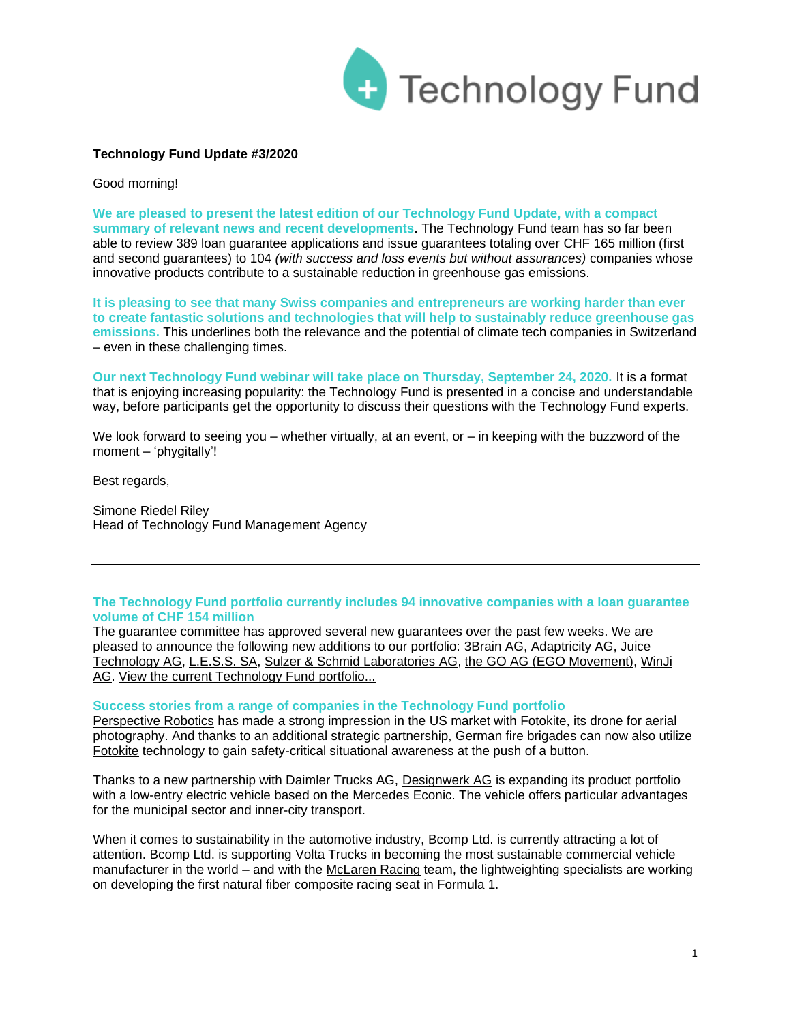

# **Technology Fund Update #3/2020**

Good morning!

**We are pleased to present the latest edition of our Technology Fund Update, with a compact summary of relevant news and recent developments.** The Technology Fund team has so far been able to review 389 loan guarantee applications and issue guarantees totaling over CHF 165 million (first and second guarantees) to 104 *(with success and loss events but without assurances)* companies whose innovative products contribute to a sustainable reduction in greenhouse gas emissions.

**It is pleasing to see that many Swiss companies and entrepreneurs are working harder than ever to create fantastic solutions and technologies that will help to sustainably reduce greenhouse gas emissions.** This underlines both the relevance and the potential of climate tech companies in Switzerland – even in these challenging times.

**Our next Technology Fund webinar will take place on Thursday, September 24, 2020.** It is a format that is enjoying increasing popularity: the Technology Fund is presented in a concise and understandable way, before participants get the opportunity to discuss their questions with the Technology Fund experts.

We look forward to seeing you – whether virtually, at an event, or – in keeping with the buzzword of the moment – 'phygitally'!

Best regards,

Simone Riedel Riley Head of Technology Fund Management Agency

## **The Technology Fund portfolio currently includes 94 innovative companies with a loan guarantee volume of CHF 154 million**

The guarantee committee has approved several new guarantees over the past few weeks. We are pleased to announce the following new additions to our portfolio: [3Brain AG,](https://www.3brain.com/) [Adaptricity AG,](https://adaptricity.com/) Juice [Technology AG,](https://www.juice-world.com/) [L.E.S.S. SA,](https://less-sa.com/en/) [Sulzer & Schmid Laboratories AG,](https://www.sulzerschmid.ch/) [the GO AG \(EGO Movement\),](https://egomovement.com/ch/de/) [WinJi](https://www.win-ji.com/)  [AG.](https://www.win-ji.com/) [View the current Technology Fund portfolio...](https://www.technologyfund.ch/portfolio/)

## **Success stories from a range of companies in the Technology Fund portfolio**

[Perspective Robotics](https://fotokite.com/fotokite-partners-with-brandschutztechnik-schlichtiger-gmbh/) has made a strong impression in the US market with Fotokite, its drone for aerial photography. And thanks to an additional strategic partnership, German fire brigades can now also utilize [Fotokite](https://fotokite.com/fotokite-partners-with-brandschutztechnik-schlichtiger-gmbh/) technology to gain safety-critical situational awareness at the push of a button.

Thanks to a new partnership with Daimler Trucks AG, [Designwerk AG](https://www.designwerk.com/designwerk-ergaenzt-portfolio-mit-einem-elektrischen-low-entry-fahrzeug) is expanding its product portfolio with a low-entry electric vehicle based on the Mercedes Econic. The vehicle offers particular advantages for the municipal sector and inner-city transport.

When it comes to sustainability in the automotive industry, [Bcomp Ltd.](https://www.bcomp.ch/) is currently attracting a lot of attention. Bcomp Ltd. is supporting [Volta Trucks](https://www.bcomp.ch/news/volta-zero-made-with-bcomps-amplitex-and-powerribs/) in becoming the most sustainable commercial vehicle manufacturer in the world – and with the [McLaren Racing](https://www.bcomp.ch/news/mclaren-racing-pioneering-sustainable-lightweighting-in-f1/) team, the lightweighting specialists are working on developing the first natural fiber composite racing seat in Formula 1.